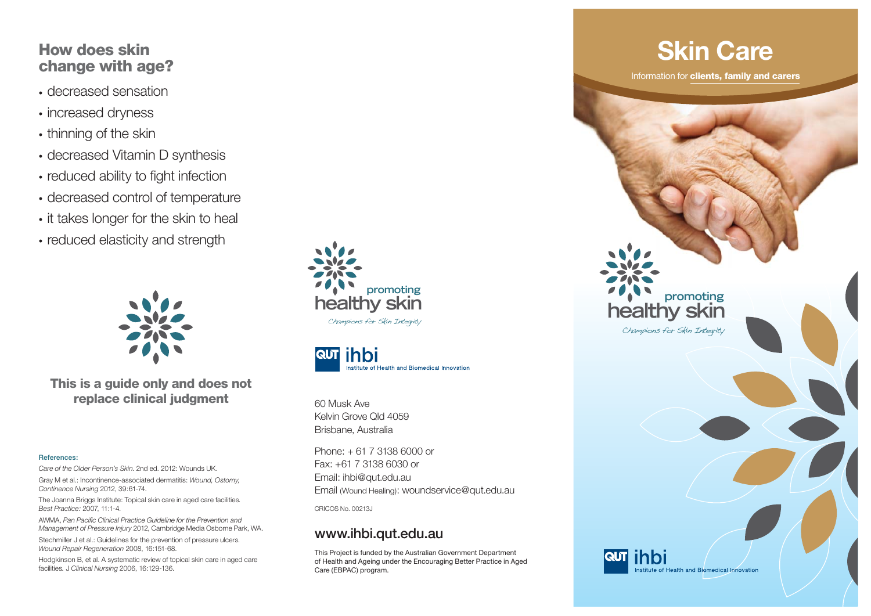#### **How does skin change with age?**

- decreased sensation
- increased dryness
- thinning of the skin
- decreased Vitamin D synthesis
- reduced ability to fight infection
- decreased control of temperature
- it takes longer for the skin to heal
- reduced elasticity and strength



**This is a guide only and does not replace clinical judgment**

#### **References:**

*Care of the Older Person's Skin*. 2nd ed. 2012: Wounds UK.

Gray M et al.: Incontinence-associated dermatitis: *Wound, Ostomy, Continence Nursing* 2012, 39:61 -74.

The Joanna Briggs Institute: Topical skin care in aged care facilities*. Best Practice:* 2007, 11: 1-4.

AWMA, Pan Pacific Clinical Practice Guideline for the Prevention and *Management of Pressure Injury* 2012, Cambridge Media Osborne Park, WA.

Stechmiller J et al.: Guidelines for the prevention of pressure ulcers*. Wound Repair Regeneration* 2008, 16:151-68.

Hodgkinson B, et al. A systematic review of topical skin care in aged care facilities*.* J *Clinical Nursing* 2006, 16:129-136.





60 Musk AveKelvin Grove Qld 4059Brisbane, Australia

Phone: + 61 7 3138 6000 or Fax: +61 7 3138 6030 or Email: ihbi@qut.edu.au Email (Wound Healing): woundservice@qut.edu.au

CRICOS No. 00213J

#### **www.ihbi.qut.edu.au**

This Project is funded by the Australian Government Department of Health and Ageing under the Encouraging Better Practice in Aged Care (EBPAC) program.

# **Skin Care**

Information for **clients, family and carers**